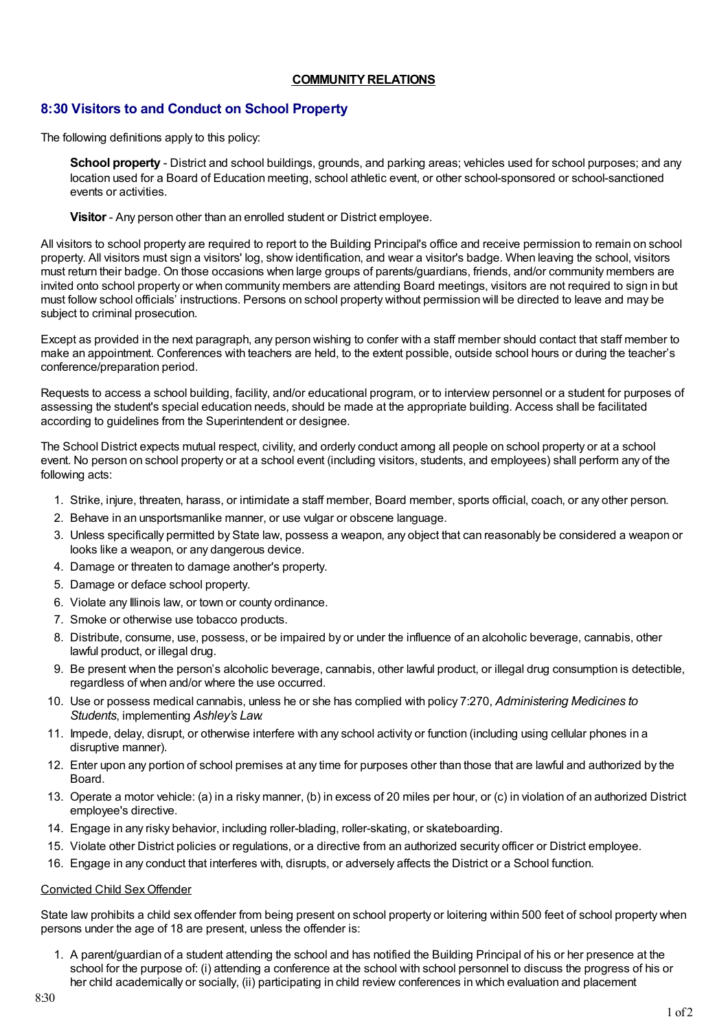## **COMMUNITY RELATIONS**

# **8:30 Visitors to and Conduct on School Property**

The following definitions apply to this policy:

**School property** - District and school buildings, grounds, and parking areas; vehicles used for school purposes; and any location used for a Board of Education meeting, school athletic event, or other school-sponsored or school-sanctioned events or activities.

**Visitor** - Any person other than an enrolled student or District employee.

All visitors to school property are required to report to the Building Principal's office and receive permission to remain on school property. All visitors must sign a visitors' log, show identification, and wear a visitor's badge. When leaving the school, visitors must return their badge. On those occasions when large groups of parents/guardians, friends, and/or community members are invited onto school property or when community members are attending Board meetings, visitors are not required to sign in but must follow school officials' instructions. Persons on school property without permission will be directed to leave and may be subject to criminal prosecution.

Except as provided in the next paragraph, any person wishing to confer with a staff member should contact that staff member to make an appointment. Conferences with teachers are held, to the extent possible, outside school hours or during the teacher's conference/preparation period.

Requests to access a school building, facility, and/or educational program, or to interview personnel or a student for purposes of assessing the student's special education needs, should be made at the appropriate building. Access shall be facilitated according to guidelines from the Superintendent or designee.

The School District expects mutual respect, civility, and orderly conduct among all people on school property or at a school event. No person on school property or at a school event (including visitors, students, and employees) shall perform any of the following acts:

- 1. Strike, injure, threaten, harass, or intimidate a staff member, Board member, sports official, coach, or any other person.
- 2. Behave in an unsportsmanlike manner, or use vulgar or obscene language.
- 3. Unless specifically permitted by State law, possess a weapon, any object that can reasonably be considered a weapon or looks like a weapon, or any dangerous device.
- 4. Damage or threaten to damage another's property.
- 5. Damage or deface school property.
- 6. Violate any Illinois law, or town or county ordinance.
- 7. Smoke or otherwise use tobacco products.
- 8. Distribute, consume, use, possess, or be impaired by or under the influence of an alcoholic beverage, cannabis, other lawful product, or illegal drug.
- 9. Be present when the person's alcoholic beverage, cannabis, other lawful product, or illegal drug consumption is detectible, regardless of when and/or where the use occurred.
- 10. Use or possess medical cannabis, unless he or she has complied with policy 7:270, *Administering Medicines to Students*, implementing *Ashley's Law*.
- 11. Impede, delay, disrupt, or otherwise interfere with any school activity or function (including using cellular phones in a disruptive manner).
- 12. Enter upon any portion of school premises at any time for purposes other than those that are lawful and authorized by the **Board**
- 13. Operate a motor vehicle: (a) in a risky manner, (b) in excess of 20 miles per hour, or (c) in violation of an authorized District employee's directive.
- 14. Engage in any risky behavior, including roller-blading, roller-skating, or skateboarding.
- 15. Violate other District policies or regulations, or a directive from an authorized security officer or District employee.
- 16. Engage in any conduct that interferes with, disrupts, or adversely affects the District or a School function.

#### Convicted Child SexOffender

State law prohibits a child sex offender from being present on school property or loitering within 500 feet of school property when persons under the age of 18 are present, unless the offender is:

1. A parent/guardian of a student attending the school and has notified the Building Principal of his or her presence at the school for the purpose of: (i) attending a conference at the school with school personnel to discuss the progress of his or her child academically or socially, (ii) participating in child review conferences in which evaluation and placement